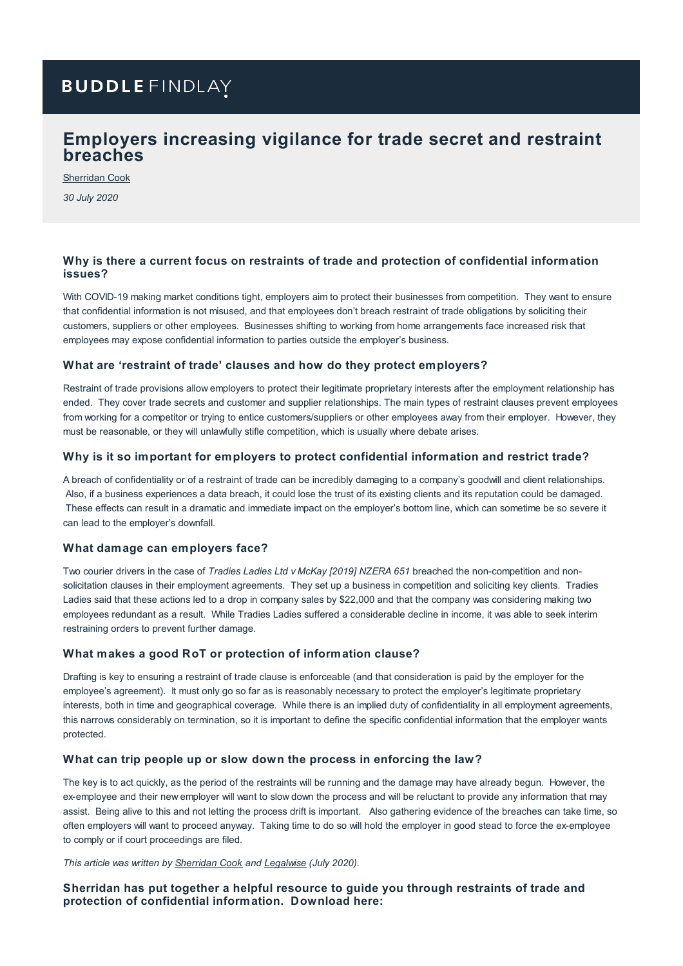# **BUDDLE FINDLAY**

# **Employers increasing vigilance for trade secret and restraint breaches**

[Sherridan](https://www.buddlefindlay.com/people/sherridan-cook/) Cook

*30 July 2020*

### **Why is there a current focus on restraints of trade and protection of confidential information issues?**

With COVID-19 making market conditions tight, employers aim to protect their businesses from competition. They want to ensure that confidential information is not misused, and that employees don't breach restraint of trade obligations by soliciting their customers, suppliers or other employees. Businesses shifting to working from home arrangements face increased risk that employees may expose confidential information to parties outside the employer's business.

### **What are 'restraint of trade' clauses and how do they protect employers?**

Restraint of trade provisions allow employers to protect their legitimate proprietary interests after the employment relationship has ended. They cover trade secrets and customer and supplier relationships. The main types of restraint clauses prevent employees from working for a competitor or trying to entice customers/suppliers or other employees away from their employer. However, they must be reasonable, or they will unlawfully stifle competition, which is usually where debate arises.

#### **Why is it so important for employers to protect confidential information and restrict trade?**

A breach of confidentiality or of a restraint of trade can be incredibly damaging to a company's goodwill and client relationships. Also, if a business experiences a data breach, it could lose the trust of its existing clients and its reputation could be damaged. These effects can result in a dramatic and immediate impact on the employer's bottom line, which can sometime be so severe it can lead to the employer's downfall.

#### **What damage can employers face?**

Two courier drivers in the case of *Tradies Ladies Ltd v McKay [2019] NZERA 651* breached the non-competition and nonsolicitation clauses in their employment agreements. They set up a business in competition and soliciting key clients. Tradies Ladies said that these actions led to a drop in company sales by \$22,000 and that the company was considering making two employees redundant as a result. While Tradies Ladies suffered a considerable decline in income, it was able to seek interim restraining orders to prevent further damage.

#### **What makes a good RoT or protection of information clause?**

Drafting is key to ensuring a restraint of trade clause is enforceable (and that consideration is paid by the employer for the employee's agreement). It must only go so far as is reasonably necessary to protect the employer's legitimate proprietary interests, both in time and geographical coverage. While there is an implied duty of confidentiality in all employment agreements, this narrows considerably on termination, so it is important to define the specific confidential information that the employer wants protected.

### **What can trip people up or slow down the process in enforcing the law?**

The key is to act quickly, as the period of the restraints will be running and the damage may have already begun. However, the ex-employee and their new employer will want to slow down the process and will be reluctant to provide any information that may assist. Being alive to this and not letting the process drift is important. Also gathering evidence of the breaches can take time, so often employers will want to proceed anyway. Taking time to do so will hold the employer in good stead to force the ex-employee to comply or if court proceedings are filed.

*This article was written by [Sherridan](https://www.buddlefindlay.com/people/sherridan-cook/) Cook and [Legalwise](https://legalwiseseminars.com.au/nz/a-discussion-with-sherridan-cook-on-restraints-of-trade-and-confidential-information/) (July 2020).*

### **Sherridan has put together a helpful resource to guide you through restraints of trade and protection of confidential information. Download here:**